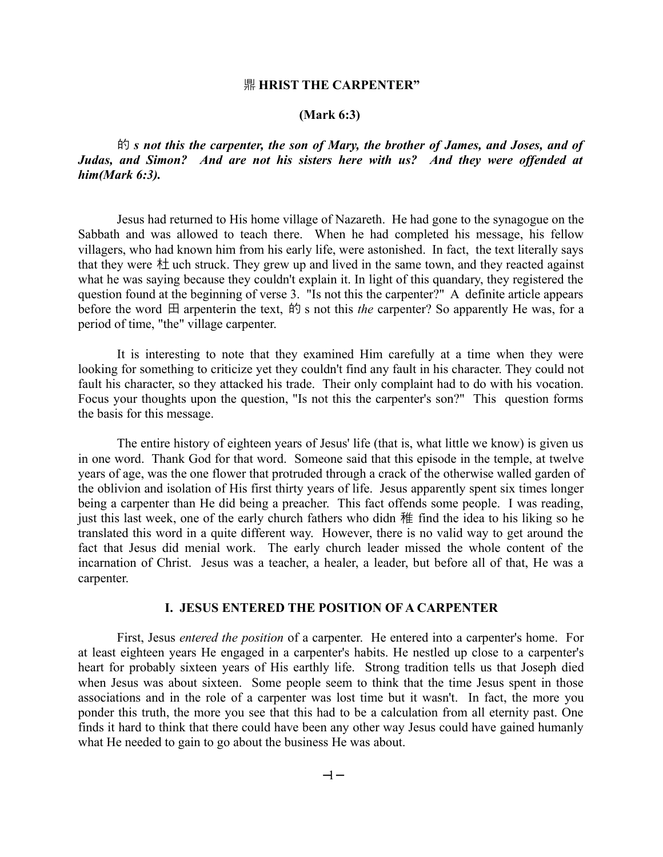## 鼎 **HRIST THE CARPENTER"**

## **(Mark 6:3)**

的 *s not this the carpenter, the son of Mary, the brother of James, and Joses, and of Judas, and Simon? And are not his sisters here with us? And they were offended at him(Mark 6:3).*

Jesus had returned to His home village of Nazareth. He had gone to the synagogue on the Sabbath and was allowed to teach there. When he had completed his message, his fellow villagers, who had known him from his early life, were astonished. In fact, the text literally says that they were  $\pm i$  uch struck. They grew up and lived in the same town, and they reacted against what he was saying because they couldn't explain it. In light of this quandary, they registered the question found at the beginning of verse 3. "Is not this the carpenter?" A definite article appears before the word 田 arpenterin the text, 的 s not this *the carpenter?* So apparently He was, for a period of time, "the" village carpenter.

It is interesting to note that they examined Him carefully at a time when they were looking for something to criticize yet they couldn't find any fault in his character. They could not fault his character, so they attacked his trade. Their only complaint had to do with his vocation. Focus your thoughts upon the question, "Is not this the carpenter's son?" This question forms the basis for this message.

The entire history of eighteen years of Jesus' life (that is, what little we know) is given us in one word. Thank God for that word. Someone said that this episode in the temple, at twelve years of age, was the one flower that protruded through a crack of the otherwise walled garden of the oblivion and isolation of His first thirty years of life. Jesus apparently spent six times longer being a carpenter than He did being a preacher. This fact offends some people. I was reading, just this last week, one of the early church fathers who didn 稚 find the idea to his liking so he translated this word in a quite different way. However, there is no valid way to get around the fact that Jesus did menial work. The early church leader missed the whole content of the incarnation of Christ. Jesus was a teacher, a healer, a leader, but before all of that, He was a carpenter.

# **I. JESUS ENTERED THE POSITION OF A CARPENTER**

First, Jesus *entered the position* of a carpenter. He entered into a carpenter's home. For at least eighteen years He engaged in a carpenter's habits. He nestled up close to a carpenter's heart for probably sixteen years of His earthly life. Strong tradition tells us that Joseph died when Jesus was about sixteen. Some people seem to think that the time Jesus spent in those associations and in the role of a carpenter was lost time but it wasn't. In fact, the more you ponder this truth, the more you see that this had to be a calculation from all eternity past. One finds it hard to think that there could have been any other way Jesus could have gained humanly what He needed to gain to go about the business He was about.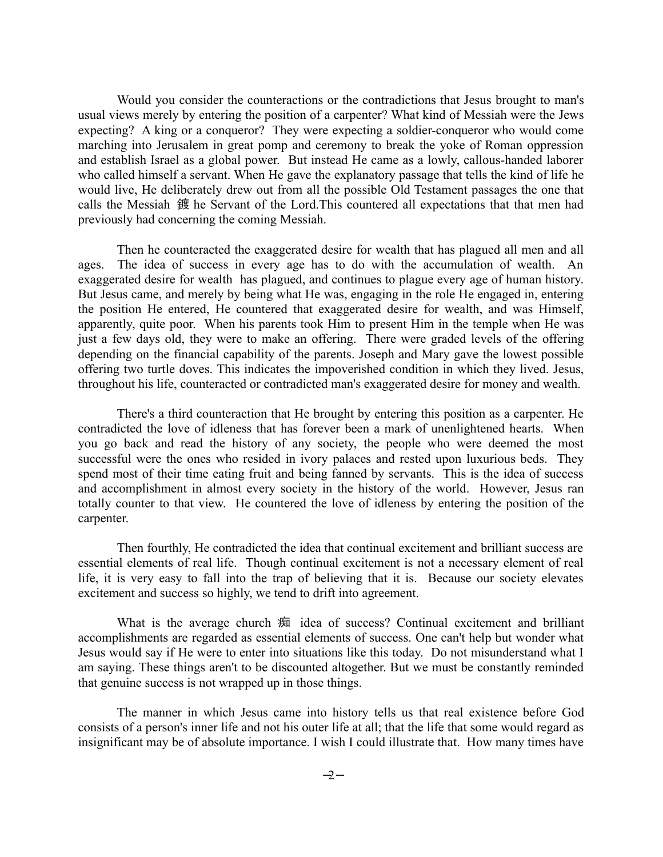Would you consider the counteractions or the contradictions that Jesus brought to man's usual views merely by entering the position of a carpenter? What kind of Messiah were the Jews expecting? A king or a conqueror? They were expecting a soldier-conqueror who would come marching into Jerusalem in great pomp and ceremony to break the yoke of Roman oppression and establish Israel as a global power. But instead He came as a lowly, callous-handed laborer who called himself a servant. When He gave the explanatory passage that tells the kind of life he would live, He deliberately drew out from all the possible Old Testament passages the one that calls the Messiah 鍍 he Servant of the Lord.This countered all expectations that that men had previously had concerning the coming Messiah.

Then he counteracted the exaggerated desire for wealth that has plagued all men and all ages. The idea of success in every age has to do with the accumulation of wealth. An exaggerated desire for wealth has plagued, and continues to plague every age of human history. But Jesus came, and merely by being what He was, engaging in the role He engaged in, entering the position He entered, He countered that exaggerated desire for wealth, and was Himself, apparently, quite poor. When his parents took Him to present Him in the temple when He was just a few days old, they were to make an offering. There were graded levels of the offering depending on the financial capability of the parents. Joseph and Mary gave the lowest possible offering two turtle doves. This indicates the impoverished condition in which they lived. Jesus, throughout his life, counteracted or contradicted man's exaggerated desire for money and wealth.

There's a third counteraction that He brought by entering this position as a carpenter. He contradicted the love of idleness that has forever been a mark of unenlightened hearts. When you go back and read the history of any society, the people who were deemed the most successful were the ones who resided in ivory palaces and rested upon luxurious beds. They spend most of their time eating fruit and being fanned by servants. This is the idea of success and accomplishment in almost every society in the history of the world. However, Jesus ran totally counter to that view. He countered the love of idleness by entering the position of the carpenter.

Then fourthly, He contradicted the idea that continual excitement and brilliant success are essential elements of real life. Though continual excitement is not a necessary element of real life, it is very easy to fall into the trap of believing that it is. Because our society elevates excitement and success so highly, we tend to drift into agreement.

What is the average church 痴 idea of success? Continual excitement and brilliant accomplishments are regarded as essential elements of success. One can't help but wonder what Jesus would say if He were to enter into situations like this today. Do not misunderstand what I am saying. These things aren't to be discounted altogether. But we must be constantly reminded that genuine success is not wrapped up in those things.

The manner in which Jesus came into history tells us that real existence before God consists of a person's inner life and not his outer life at all; that the life that some would regard as insignificant may be of absolute importance. I wish I could illustrate that. How many times have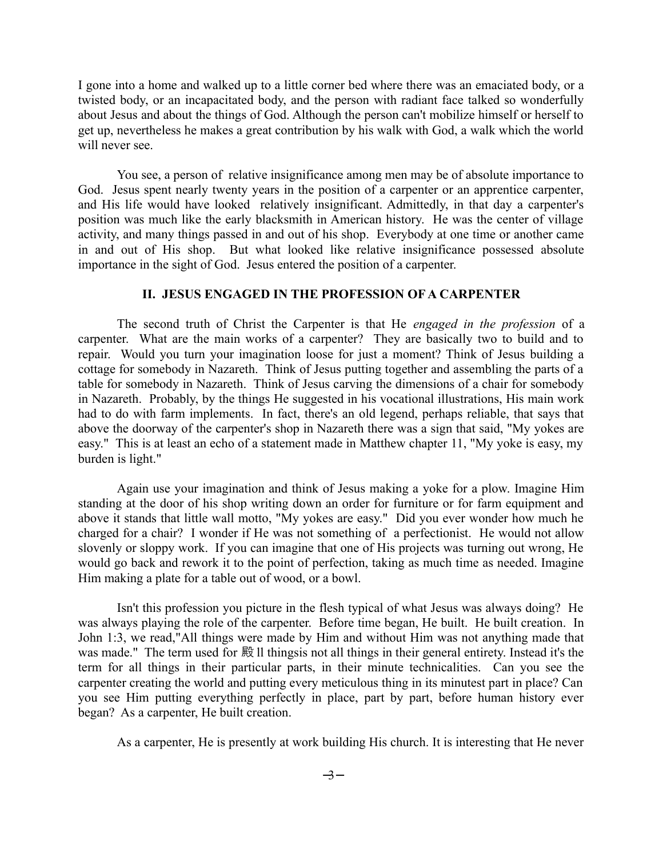I gone into a home and walked up to a little corner bed where there was an emaciated body, or a twisted body, or an incapacitated body, and the person with radiant face talked so wonderfully about Jesus and about the things of God. Although the person can't mobilize himself or herself to get up, nevertheless he makes a great contribution by his walk with God, a walk which the world will never see.

You see, a person of relative insignificance among men may be of absolute importance to God. Jesus spent nearly twenty years in the position of a carpenter or an apprentice carpenter, and His life would have looked relatively insignificant. Admittedly, in that day a carpenter's position was much like the early blacksmith in American history. He was the center of village activity, and many things passed in and out of his shop. Everybody at one time or another came in and out of His shop. But what looked like relative insignificance possessed absolute importance in the sight of God. Jesus entered the position of a carpenter.

## **II. JESUS ENGAGED IN THE PROFESSION OF A CARPENTER**

The second truth of Christ the Carpenter is that He *engaged in the profession* of a carpenter. What are the main works of a carpenter? They are basically two to build and to repair. Would you turn your imagination loose for just a moment? Think of Jesus building a cottage for somebody in Nazareth. Think of Jesus putting together and assembling the parts of a table for somebody in Nazareth. Think of Jesus carving the dimensions of a chair for somebody in Nazareth. Probably, by the things He suggested in his vocational illustrations, His main work had to do with farm implements. In fact, there's an old legend, perhaps reliable, that says that above the doorway of the carpenter's shop in Nazareth there was a sign that said, "My yokes are easy." This is at least an echo of a statement made in Matthew chapter 11, "My yoke is easy, my burden is light."

Again use your imagination and think of Jesus making a yoke for a plow. Imagine Him standing at the door of his shop writing down an order for furniture or for farm equipment and above it stands that little wall motto, "My yokes are easy." Did you ever wonder how much he charged for a chair? I wonder if He was not something of a perfectionist. He would not allow slovenly or sloppy work. If you can imagine that one of His projects was turning out wrong, He would go back and rework it to the point of perfection, taking as much time as needed. Imagine Him making a plate for a table out of wood, or a bowl.

Isn't this profession you picture in the flesh typical of what Jesus was always doing? He was always playing the role of the carpenter. Before time began, He built. He built creation. In John 1:3, we read,"All things were made by Him and without Him was not anything made that was made." The term used for 殿 ll thingsis not all things in their general entirety. Instead it's the term for all things in their particular parts, in their minute technicalities. Can you see the carpenter creating the world and putting every meticulous thing in its minutest part in place? Can you see Him putting everything perfectly in place, part by part, before human history ever began? As a carpenter, He built creation.

As a carpenter, He is presently at work building His church. It is interesting that He never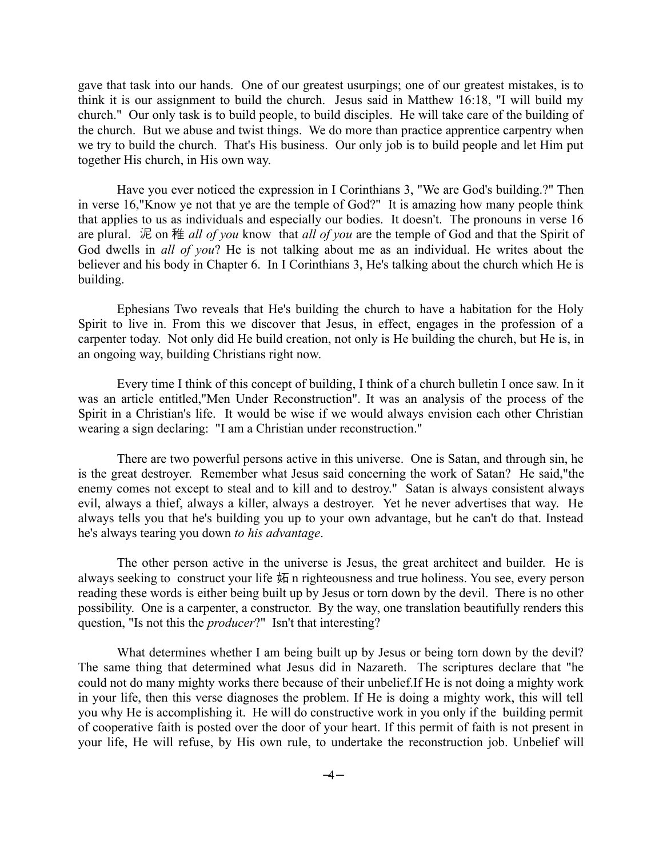gave that task into our hands. One of our greatest usurpings; one of our greatest mistakes, is to think it is our assignment to build the church. Jesus said in Matthew 16:18, "I will build my church." Our only task is to build people, to build disciples. He will take care of the building of the church. But we abuse and twist things. We do more than practice apprentice carpentry when we try to build the church. That's His business. Our only job is to build people and let Him put together His church, in His own way.

Have you ever noticed the expression in I Corinthians 3, "We are God's building.?" Then in verse 16,"Know ye not that ye are the temple of God?" It is amazing how many people think that applies to us as individuals and especially our bodies. It doesn't. The pronouns in verse 16 are plural. 泥 on 稚 *all of you* know that *all of you* are the temple of God and that the Spirit of God dwells in *all of you*? He is not talking about me as an individual. He writes about the believer and his body in Chapter 6. In I Corinthians 3, He's talking about the church which He is building.

Ephesians Two reveals that He's building the church to have a habitation for the Holy Spirit to live in. From this we discover that Jesus, in effect, engages in the profession of a carpenter today. Not only did He build creation, not only is He building the church, but He is, in an ongoing way, building Christians right now.

Every time I think of this concept of building, I think of a church bulletin I once saw. In it was an article entitled,"Men Under Reconstruction". It was an analysis of the process of the Spirit in a Christian's life. It would be wise if we would always envision each other Christian wearing a sign declaring: "I am a Christian under reconstruction."

There are two powerful persons active in this universe. One is Satan, and through sin, he is the great destroyer. Remember what Jesus said concerning the work of Satan? He said,"the enemy comes not except to steal and to kill and to destroy." Satan is always consistent always evil, always a thief, always a killer, always a destroyer. Yet he never advertises that way. He always tells you that he's building you up to your own advantage, but he can't do that. Instead he's always tearing you down *to his advantage*.

The other person active in the universe is Jesus, the great architect and builder. He is always seeking to construct your life 妬 n righteousness and true holiness. You see, every person reading these words is either being built up by Jesus or torn down by the devil. There is no other possibility. One is a carpenter, a constructor. By the way, one translation beautifully renders this question, "Is not this the *producer*?" Isn't that interesting?

What determines whether I am being built up by Jesus or being torn down by the devil? The same thing that determined what Jesus did in Nazareth. The scriptures declare that "he could not do many mighty works there because of their unbelief.If He is not doing a mighty work in your life, then this verse diagnoses the problem. If He is doing a mighty work, this will tell you why He is accomplishing it. He will do constructive work in you only if the building permit of cooperative faith is posted over the door of your heart. If this permit of faith is not present in your life, He will refuse, by His own rule, to undertake the reconstruction job. Unbelief will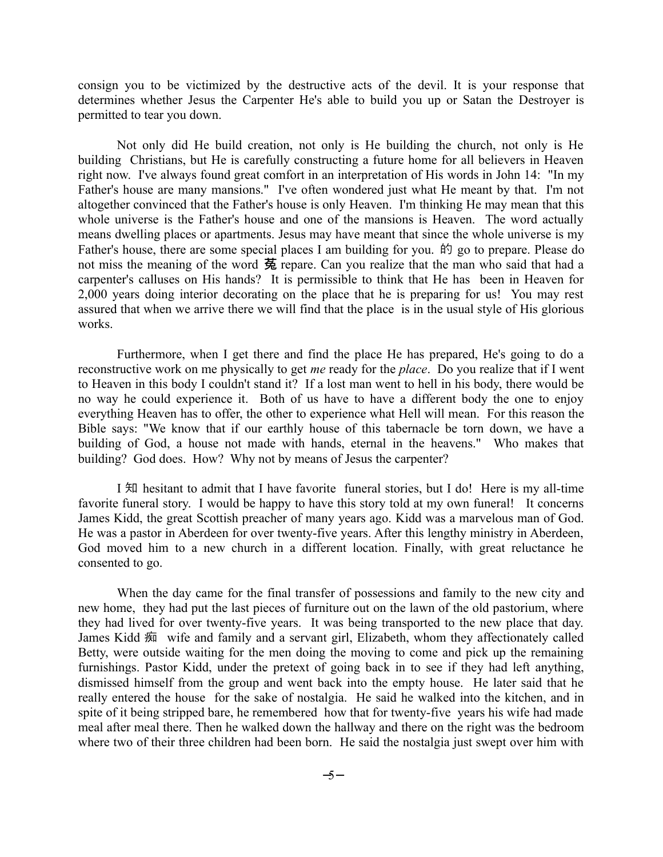consign you to be victimized by the destructive acts of the devil. It is your response that determines whether Jesus the Carpenter He's able to build you up or Satan the Destroyer is permitted to tear you down.

Not only did He build creation, not only is He building the church, not only is He building Christians, but He is carefully constructing a future home for all believers in Heaven right now. I've always found great comfort in an interpretation of His words in John 14: "In my Father's house are many mansions." I've often wondered just what He meant by that. I'm not altogether convinced that the Father's house is only Heaven. I'm thinking He may mean that this whole universe is the Father's house and one of the mansions is Heaven. The word actually means dwelling places or apartments. Jesus may have meant that since the whole universe is my Father's house, there are some special places I am building for you. 的 go to prepare. Please do not miss the meaning of the word 菟 repare. Can you realize that the man who said that had a carpenter's calluses on His hands? It is permissible to think that He has been in Heaven for 2,000 years doing interior decorating on the place that he is preparing for us! You may rest assured that when we arrive there we will find that the place is in the usual style of His glorious works.

Furthermore, when I get there and find the place He has prepared, He's going to do a reconstructive work on me physically to get *me* ready for the *place*. Do you realize that if I went to Heaven in this body I couldn't stand it? If a lost man went to hell in his body, there would be no way he could experience it. Both of us have to have a different body the one to enjoy everything Heaven has to offer, the other to experience what Hell will mean. For this reason the Bible says: "We know that if our earthly house of this tabernacle be torn down, we have a building of God, a house not made with hands, eternal in the heavens." Who makes that building? God does. How? Why not by means of Jesus the carpenter?

I 知 hesitant to admit that I have favorite funeral stories, but I do! Here is my all-time favorite funeral story. I would be happy to have this story told at my own funeral! It concerns James Kidd, the great Scottish preacher of many years ago. Kidd was a marvelous man of God. He was a pastor in Aberdeen for over twenty-five years. After this lengthy ministry in Aberdeen, God moved him to a new church in a different location. Finally, with great reluctance he consented to go.

When the day came for the final transfer of possessions and family to the new city and new home, they had put the last pieces of furniture out on the lawn of the old pastorium, where they had lived for over twenty-five years. It was being transported to the new place that day. James Kidd 痴 wife and family and a servant girl, Elizabeth, whom they affectionately called Betty, were outside waiting for the men doing the moving to come and pick up the remaining furnishings. Pastor Kidd, under the pretext of going back in to see if they had left anything, dismissed himself from the group and went back into the empty house. He later said that he really entered the house for the sake of nostalgia. He said he walked into the kitchen, and in spite of it being stripped bare, he remembered how that for twenty-five years his wife had made meal after meal there. Then he walked down the hallway and there on the right was the bedroom where two of their three children had been born. He said the nostalgia just swept over him with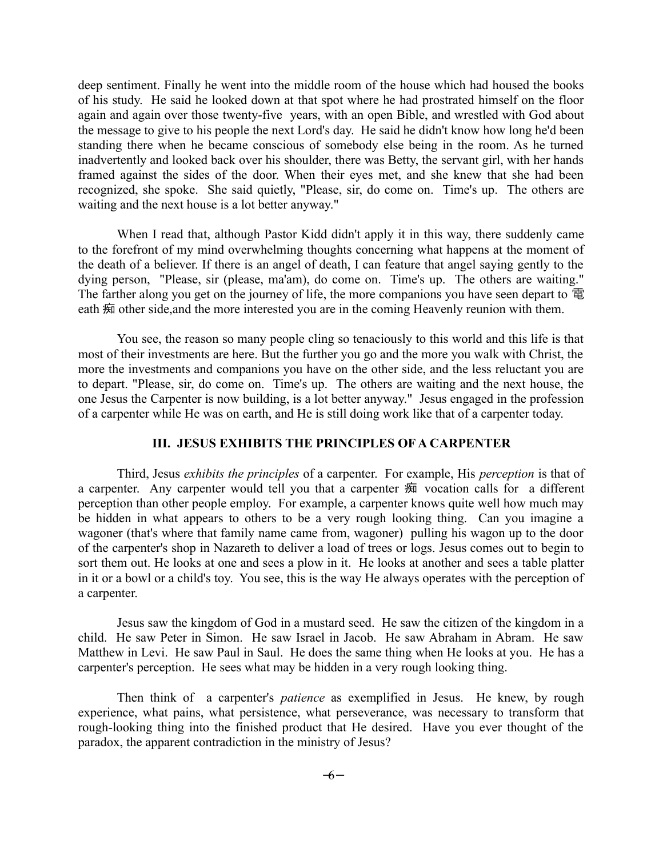deep sentiment. Finally he went into the middle room of the house which had housed the books of his study. He said he looked down at that spot where he had prostrated himself on the floor again and again over those twenty-five years, with an open Bible, and wrestled with God about the message to give to his people the next Lord's day. He said he didn't know how long he'd been standing there when he became conscious of somebody else being in the room. As he turned inadvertently and looked back over his shoulder, there was Betty, the servant girl, with her hands framed against the sides of the door. When their eyes met, and she knew that she had been recognized, she spoke. She said quietly, "Please, sir, do come on. Time's up. The others are waiting and the next house is a lot better anyway."

When I read that, although Pastor Kidd didn't apply it in this way, there suddenly came to the forefront of my mind overwhelming thoughts concerning what happens at the moment of the death of a believer. If there is an angel of death, I can feature that angel saying gently to the dying person, "Please, sir (please, ma'am), do come on. Time's up. The others are waiting." The farther along you get on the journey of life, the more companions you have seen depart to 電 eath 痴 other side, and the more interested you are in the coming Heavenly reunion with them.

You see, the reason so many people cling so tenaciously to this world and this life is that most of their investments are here. But the further you go and the more you walk with Christ, the more the investments and companions you have on the other side, and the less reluctant you are to depart. "Please, sir, do come on. Time's up. The others are waiting and the next house, the one Jesus the Carpenter is now building, is a lot better anyway." Jesus engaged in the profession of a carpenter while He was on earth, and He is still doing work like that of a carpenter today.

## **III. JESUS EXHIBITS THE PRINCIPLES OF A CARPENTER**

Third, Jesus *exhibits the principles* of a carpenter. For example, His *perception* is that of a carpenter. Any carpenter would tell you that a carpenter 痴 vocation calls for a different perception than other people employ. For example, a carpenter knows quite well how much may be hidden in what appears to others to be a very rough looking thing. Can you imagine a wagoner (that's where that family name came from, wagoner) pulling his wagon up to the door of the carpenter's shop in Nazareth to deliver a load of trees or logs. Jesus comes out to begin to sort them out. He looks at one and sees a plow in it. He looks at another and sees a table platter in it or a bowl or a child's toy. You see, this is the way He always operates with the perception of a carpenter.

Jesus saw the kingdom of God in a mustard seed. He saw the citizen of the kingdom in a child. He saw Peter in Simon. He saw Israel in Jacob. He saw Abraham in Abram. He saw Matthew in Levi. He saw Paul in Saul. He does the same thing when He looks at you. He has a carpenter's perception. He sees what may be hidden in a very rough looking thing.

Then think of a carpenter's *patience* as exemplified in Jesus. He knew, by rough experience, what pains, what persistence, what perseverance, was necessary to transform that rough-looking thing into the finished product that He desired. Have you ever thought of the paradox, the apparent contradiction in the ministry of Jesus?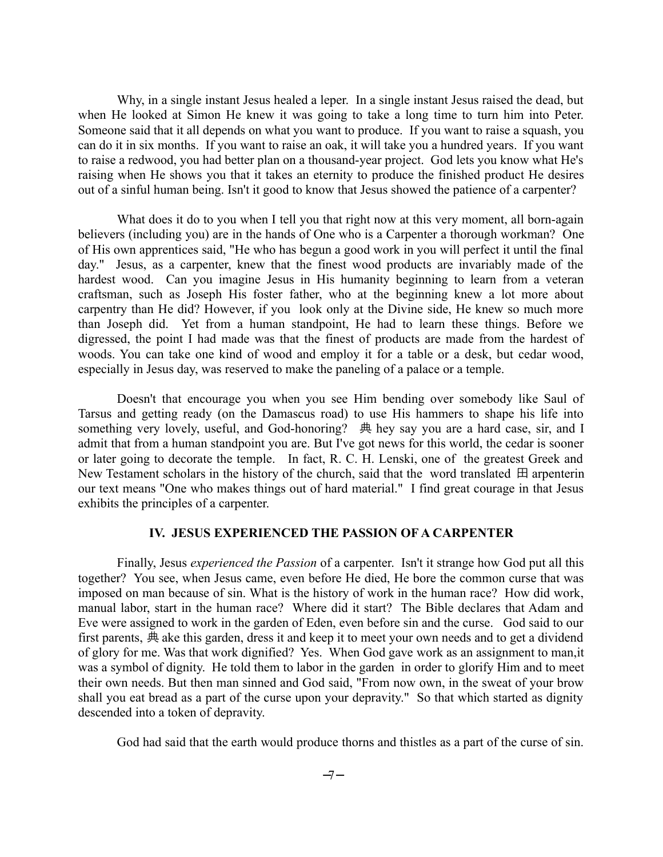Why, in a single instant Jesus healed a leper. In a single instant Jesus raised the dead, but when He looked at Simon He knew it was going to take a long time to turn him into Peter. Someone said that it all depends on what you want to produce. If you want to raise a squash, you can do it in six months. If you want to raise an oak, it will take you a hundred years. If you want to raise a redwood, you had better plan on a thousand-year project. God lets you know what He's raising when He shows you that it takes an eternity to produce the finished product He desires out of a sinful human being. Isn't it good to know that Jesus showed the patience of a carpenter?

What does it do to you when I tell you that right now at this very moment, all born-again believers (including you) are in the hands of One who is a Carpenter a thorough workman? One of His own apprentices said, "He who has begun a good work in you will perfect it until the final day." Jesus, as a carpenter, knew that the finest wood products are invariably made of the hardest wood. Can you imagine Jesus in His humanity beginning to learn from a veteran craftsman, such as Joseph His foster father, who at the beginning knew a lot more about carpentry than He did? However, if you look only at the Divine side, He knew so much more than Joseph did. Yet from a human standpoint, He had to learn these things. Before we digressed, the point I had made was that the finest of products are made from the hardest of woods. You can take one kind of wood and employ it for a table or a desk, but cedar wood, especially in Jesus day, was reserved to make the paneling of a palace or a temple.

Doesn't that encourage you when you see Him bending over somebody like Saul of Tarsus and getting ready (on the Damascus road) to use His hammers to shape his life into something very lovely, useful, and God-honoring? 典 hey say you are a hard case, sir, and I admit that from a human standpoint you are. But I've got news for this world, the cedar is sooner or later going to decorate the temple. In fact, R. C. H. Lenski, one of the greatest Greek and New Testament scholars in the history of the church, said that the word translated  $\boxplus$  arpenterin our text means "One who makes things out of hard material." I find great courage in that Jesus exhibits the principles of a carpenter.

#### **IV. JESUS EXPERIENCED THE PASSION OF A CARPENTER**

Finally, Jesus *experienced the Passion* of a carpenter. Isn't it strange how God put all this together? You see, when Jesus came, even before He died, He bore the common curse that was imposed on man because of sin. What is the history of work in the human race? How did work, manual labor, start in the human race? Where did it start? The Bible declares that Adam and Eve were assigned to work in the garden of Eden, even before sin and the curse. God said to our first parents, 典 ake this garden, dress it and keep it to meet your own needs and to get a dividend of glory for me. Was that work dignified? Yes. When God gave work as an assignment to man,it was a symbol of dignity. He told them to labor in the garden in order to glorify Him and to meet their own needs. But then man sinned and God said, "From now own, in the sweat of your brow shall you eat bread as a part of the curse upon your depravity." So that which started as dignity descended into a token of depravity.

God had said that the earth would produce thorns and thistles as a part of the curse of sin.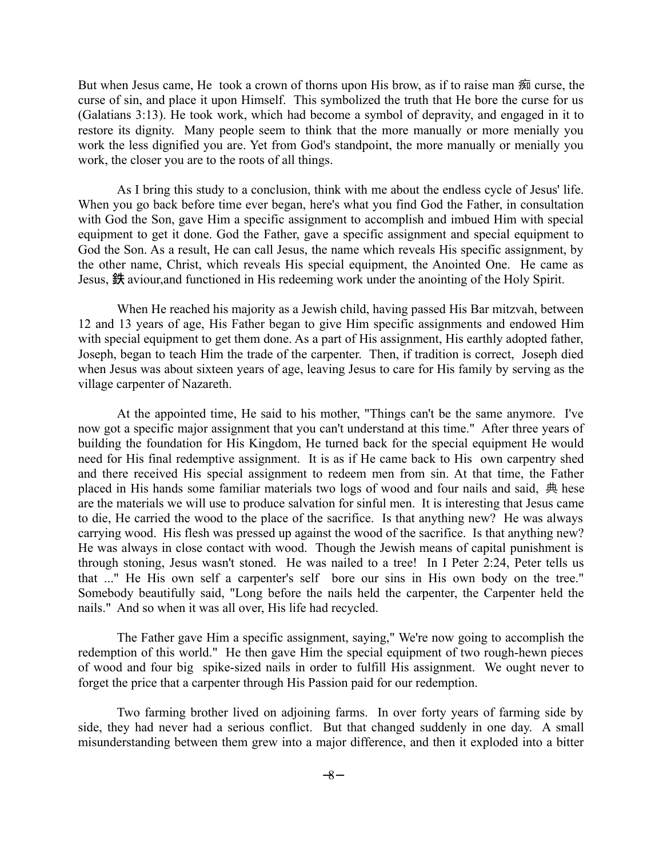But when Jesus came, He took a crown of thorns upon His brow, as if to raise man 痴 curse, the curse of sin, and place it upon Himself. This symbolized the truth that He bore the curse for us (Galatians 3:13). He took work, which had become a symbol of depravity, and engaged in it to restore its dignity. Many people seem to think that the more manually or more menially you work the less dignified you are. Yet from God's standpoint, the more manually or menially you work, the closer you are to the roots of all things.

As I bring this study to a conclusion, think with me about the endless cycle of Jesus' life. When you go back before time ever began, here's what you find God the Father, in consultation with God the Son, gave Him a specific assignment to accomplish and imbued Him with special equipment to get it done. God the Father, gave a specific assignment and special equipment to God the Son. As a result, He can call Jesus, the name which reveals His specific assignment, by the other name, Christ, which reveals His special equipment, the Anointed One. He came as Jesus, 鉄 aviour,and functioned in His redeeming work under the anointing of the Holy Spirit.

When He reached his majority as a Jewish child, having passed His Bar mitzvah, between 12 and 13 years of age, His Father began to give Him specific assignments and endowed Him with special equipment to get them done. As a part of His assignment, His earthly adopted father, Joseph, began to teach Him the trade of the carpenter. Then, if tradition is correct, Joseph died when Jesus was about sixteen years of age, leaving Jesus to care for His family by serving as the village carpenter of Nazareth.

At the appointed time, He said to his mother, "Things can't be the same anymore. I've now got a specific major assignment that you can't understand at this time." After three years of building the foundation for His Kingdom, He turned back for the special equipment He would need for His final redemptive assignment. It is as if He came back to His own carpentry shed and there received His special assignment to redeem men from sin. At that time, the Father placed in His hands some familiar materials two logs of wood and four nails and said, 典 hese are the materials we will use to produce salvation for sinful men. It is interesting that Jesus came to die, He carried the wood to the place of the sacrifice. Is that anything new? He was always carrying wood. His flesh was pressed up against the wood of the sacrifice. Is that anything new? He was always in close contact with wood. Though the Jewish means of capital punishment is through stoning, Jesus wasn't stoned. He was nailed to a tree! In I Peter 2:24, Peter tells us that ..." He His own self a carpenter's self bore our sins in His own body on the tree." Somebody beautifully said, "Long before the nails held the carpenter, the Carpenter held the nails." And so when it was all over, His life had recycled.

The Father gave Him a specific assignment, saying," We're now going to accomplish the redemption of this world." He then gave Him the special equipment of two rough-hewn pieces of wood and four big spike-sized nails in order to fulfill His assignment. We ought never to forget the price that a carpenter through His Passion paid for our redemption.

Two farming brother lived on adjoining farms. In over forty years of farming side by side, they had never had a serious conflict. But that changed suddenly in one day. A small misunderstanding between them grew into a major difference, and then it exploded into a bitter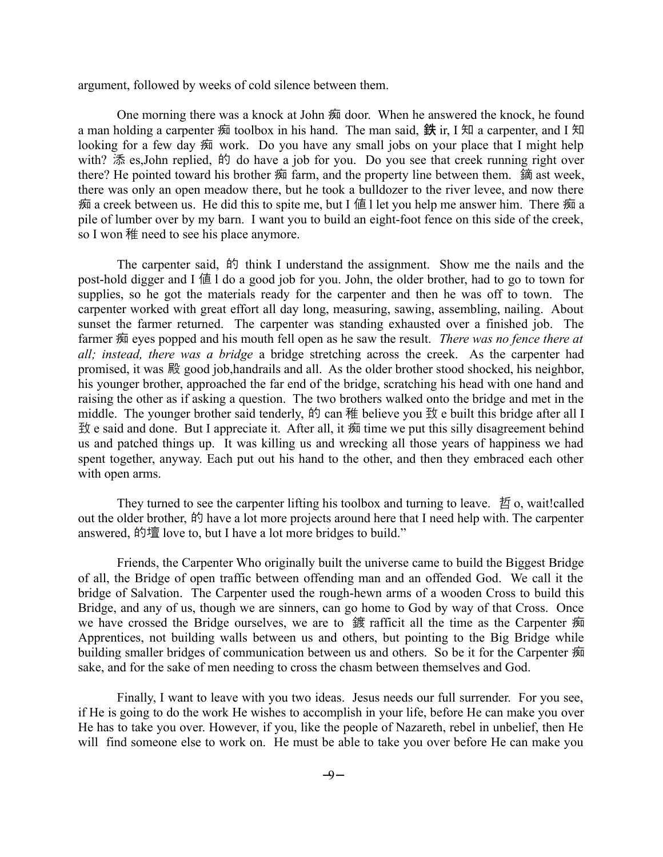argument, followed by weeks of cold silence between them.

One morning there was a knock at John 痴 door. When he answered the knock, he found a man holding a carpenter 痴 toolbox in his hand. The man said, 鉄 ir, I 知 a carpenter, and I 知 looking for a few day 痴 work. Do you have any small jobs on your place that I might help with? 添 es,John replied, 的 do have a job for you. Do you see that creek running right over there? He pointed toward his brother 痴 farm, and the property line between them. 鏑 ast week, there was only an open meadow there, but he took a bulldozer to the river levee, and now there 痴 a creek between us. He did this to spite me, but I 値 l let you help me answer him. There 痴 a pile of lumber over by my barn. I want you to build an eight-foot fence on this side of the creek, so I won 稚 need to see his place anymore.

The carpenter said, 的 think I understand the assignment. Show me the nails and the post-hold digger and I 値 l do a good job for you. John, the older brother, had to go to town for supplies, so he got the materials ready for the carpenter and then he was off to town. The carpenter worked with great effort all day long, measuring, sawing, assembling, nailing. About sunset the farmer returned. The carpenter was standing exhausted over a finished job. The farmer 痴 eyes popped and his mouth fell open as he saw the result. *There was no fence there at all; instead, there was a bridge* a bridge stretching across the creek. As the carpenter had promised, it was 殿 good job,handrails and all. As the older brother stood shocked, his neighbor, his younger brother, approached the far end of the bridge, scratching his head with one hand and raising the other as if asking a question. The two brothers walked onto the bridge and met in the middle. The younger brother said tenderly, 的 can 稚 believe you 致 e built this bridge after all I 致 e said and done. But I appreciate it. After all, it 痴 time we put this silly disagreement behind us and patched things up. It was killing us and wrecking all those years of happiness we had spent together, anyway. Each put out his hand to the other, and then they embraced each other with open arms.

They turned to see the carpenter lifting his toolbox and turning to leave. 哲 o, wait!called out the older brother, 的 have a lot more projects around here that I need help with. The carpenter answered, 的壇 love to, but I have a lot more bridges to build."

Friends, the Carpenter Who originally built the universe came to build the Biggest Bridge of all, the Bridge of open traffic between offending man and an offended God. We call it the bridge of Salvation. The Carpenter used the rough-hewn arms of a wooden Cross to build this Bridge, and any of us, though we are sinners, can go home to God by way of that Cross. Once we have crossed the Bridge ourselves, we are to 鍍 rafficit all the time as the Carpenter 痴 Apprentices, not building walls between us and others, but pointing to the Big Bridge while building smaller bridges of communication between us and others. So be it for the Carpenter 痴 sake, and for the sake of men needing to cross the chasm between themselves and God.

Finally, I want to leave with you two ideas. Jesus needs our full surrender. For you see, if He is going to do the work He wishes to accomplish in your life, before He can make you over He has to take you over. However, if you, like the people of Nazareth, rebel in unbelief, then He will find someone else to work on. He must be able to take you over before He can make you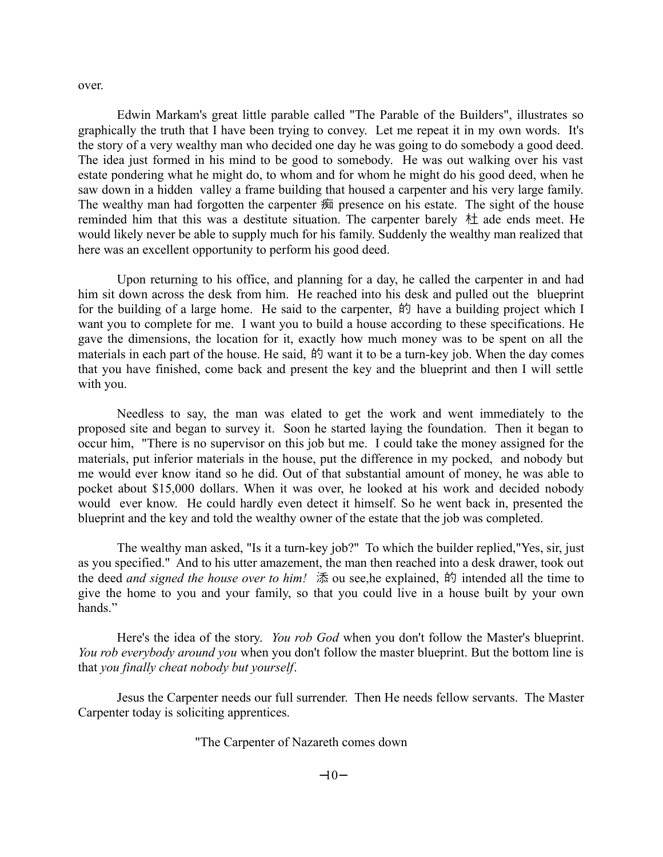over.

Edwin Markam's great little parable called "The Parable of the Builders", illustrates so graphically the truth that I have been trying to convey. Let me repeat it in my own words. It's the story of a very wealthy man who decided one day he was going to do somebody a good deed. The idea just formed in his mind to be good to somebody. He was out walking over his vast estate pondering what he might do, to whom and for whom he might do his good deed, when he saw down in a hidden valley a frame building that housed a carpenter and his very large family. The wealthy man had forgotten the carpenter 痴 presence on his estate. The sight of the house reminded him that this was a destitute situation. The carpenter barely 杜 ade ends meet. He would likely never be able to supply much for his family. Suddenly the wealthy man realized that here was an excellent opportunity to perform his good deed.

Upon returning to his office, and planning for a day, he called the carpenter in and had him sit down across the desk from him. He reached into his desk and pulled out the blueprint for the building of a large home. He said to the carpenter,  $\sharp \sharp$  have a building project which I want you to complete for me. I want you to build a house according to these specifications. He gave the dimensions, the location for it, exactly how much money was to be spent on all the materials in each part of the house. He said, 的 want it to be a turn-key job. When the day comes that you have finished, come back and present the key and the blueprint and then I will settle with you.

Needless to say, the man was elated to get the work and went immediately to the proposed site and began to survey it. Soon he started laying the foundation. Then it began to occur him, "There is no supervisor on this job but me. I could take the money assigned for the materials, put inferior materials in the house, put the difference in my pocked, and nobody but me would ever know itand so he did. Out of that substantial amount of money, he was able to pocket about \$15,000 dollars. When it was over, he looked at his work and decided nobody would ever know. He could hardly even detect it himself. So he went back in, presented the blueprint and the key and told the wealthy owner of the estate that the job was completed.

The wealthy man asked, "Is it a turn-key job?" To which the builder replied,"Yes, sir, just as you specified." And to his utter amazement, the man then reached into a desk drawer, took out the deed *and signed the house over to him!* 添 ou see, he explained, 的 intended all the time to give the home to you and your family, so that you could live in a house built by your own hands."

Here's the idea of the story. *You rob God* when you don't follow the Master's blueprint. *You rob everybody around you* when you don't follow the master blueprint. But the bottom line is that *you finally cheat nobody but yourself*.

Jesus the Carpenter needs our full surrender. Then He needs fellow servants. The Master Carpenter today is soliciting apprentices.

"The Carpenter of Nazareth comes down